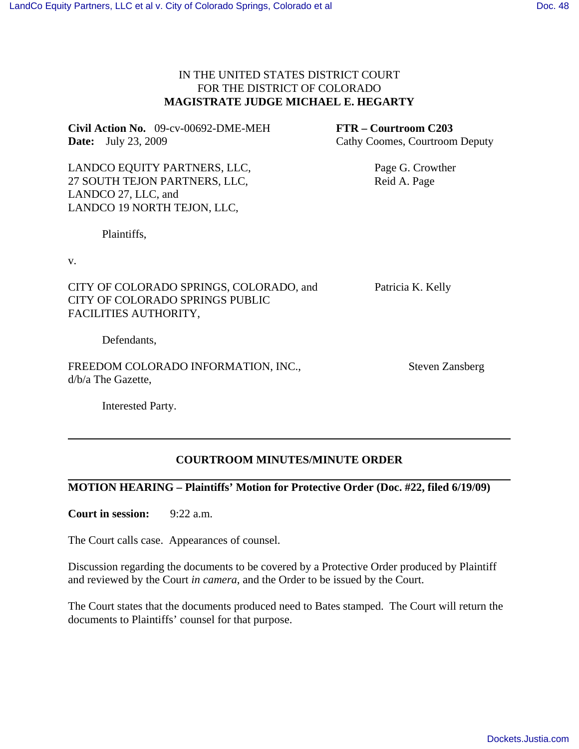## IN THE UNITED STATES DISTRICT COURT FOR THE DISTRICT OF COLORADO **MAGISTRATE JUDGE MICHAEL E. HEGARTY**

**Civil Action No.** 09-cv-00692-DME-MEH **FTR – Courtroom C203 Date:** July 23, 2009 Cathy Coomes, Courtroom Deputy

LANDCO EQUITY PARTNERS, LLC, Page G. Crowther 27 SOUTH TEJON PARTNERS, LLC, Reid A. Page LANDCO 27, LLC, and LANDCO 19 NORTH TEJON, LLC,

Plaintiffs,

v.

CITY OF COLORADO SPRINGS, COLORADO, and Patricia K. Kelly CITY OF COLORADO SPRINGS PUBLIC FACILITIES AUTHORITY,

Defendants,

FREEDOM COLORADO INFORMATION, INC., Steven Zansberg d/b/a The Gazette,

Interested Party.

## **COURTROOM MINUTES/MINUTE ORDER**

## **MOTION HEARING – Plaintiffs' Motion for Protective Order (Doc. #22, filed 6/19/09)**

**Court in session:** 9:22 a.m.

The Court calls case. Appearances of counsel.

Discussion regarding the documents to be covered by a Protective Order produced by Plaintiff and reviewed by the Court *in camera*, and the Order to be issued by the Court.

The Court states that the documents produced need to Bates stamped. The Court will return the documents to Plaintiffs' counsel for that purpose.